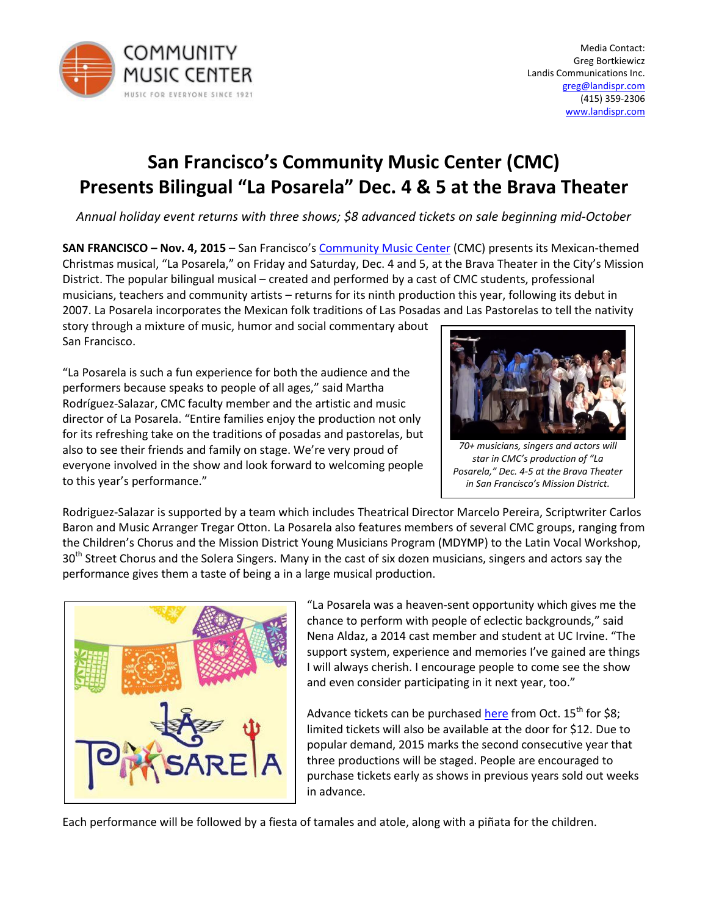

# **San Francisco's Community Music Center (CMC) Presents Bilingual "La Posarela" Dec. 4 & 5 at the Brava Theater**

*Annual holiday event returns with three shows; \$8 advanced tickets on sale beginning mid-October*

**SAN FRANCISCO – Nov. 4, 2015** – San Francisco's [Community Music Center](http://www.sfcmc.org/) (CMC) presents its Mexican-themed Christmas musical, "La Posarela," on Friday and Saturday, Dec. 4 and 5, at the Brava Theater in the City's Mission District. The popular bilingual musical – created and performed by a cast of CMC students, professional musicians, teachers and community artists – returns for its ninth production this year, following its debut in 2007. La Posarela incorporates the Mexican folk traditions of Las Posadas and Las Pastorelas to tell the nativity

story through a mixture of music, humor and social commentary about San Francisco.

"La Posarela is such a fun experience for both the audience and the performers because speaks to people of all ages," said Martha Rodríguez-Salazar, CMC faculty member and the artistic and music director of La Posarela. "Entire families enjoy the production not only for its refreshing take on the traditions of posadas and pastorelas, but also to see their friends and family on stage. We're very proud of everyone involved in the show and look forward to welcoming people to this year's performance."



*70+ musicians, singers and actors will star in CMC's production of "La Posarela," Dec. 4-5 at the Brava Theater in San Francisco's Mission District.*

Rodriguez-Salazar is supported by a team which includes Theatrical Director Marcelo Pereira, Scriptwriter Carlos Baron and Music Arranger Tregar Otton. La Posarela also features members of several CMC groups, ranging from the Children's Chorus and the Mission District Young Musicians Program (MDYMP) to the Latin Vocal Workshop, 30<sup>th</sup> Street Chorus and the Solera Singers. Many in the cast of six dozen musicians, singers and actors say the performance gives them a taste of being a in a large musical production.



"La Posarela was a heaven-sent opportunity which gives me the chance to perform with people of eclectic backgrounds," said Nena Aldaz, a 2014 cast member and student at UC Irvine. "The support system, experience and memories I've gained are things I will always cherish. I encourage people to come see the show and even consider participating in it next year, too."

Advance tickets can be purchased [here](http://brava.org/tickets-and-box-office/) from Oct.  $15<sup>th</sup>$  for \$8; limited tickets will also be available at the door for \$12. Due to popular demand, 2015 marks the second consecutive year that three productions will be staged. People are encouraged to purchase tickets early as shows in previous years sold out weeks in advance.

Each performance will be followed by a fiesta of tamales and atole, along with a piñata for the children.